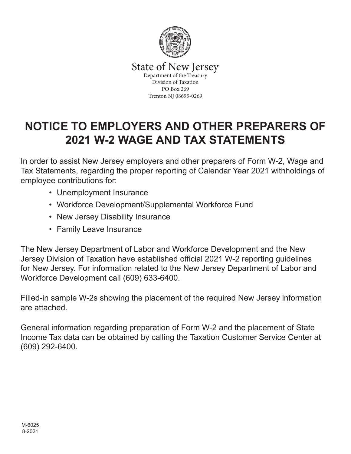

State of New Jersey<br>Department of the Treasury Division of Taxation PO Box 269 Trenton NJ 08695-0269

# **NOTICE TO EMPLOYERS AND OTHER PREPARERS OF 2021 W-2 WAGE AND TAX STATEMENTS**

In order to assist New Jersey employers and other preparers of Form W-2, Wage and Tax Statements, regarding the proper reporting of Calendar Year 2021 withholdings of employee contributions for:

- Unemployment Insurance
- Workforce Development/Supplemental Workforce Fund
- New Jersey Disability Insurance
- Family Leave Insurance

The New Jersey Department of Labor and Workforce Development and the New Jersey Division of Taxation have established official 2021 W-2 reporting guidelines for New Jersey. For information related to the New Jersey Department of Labor and Workforce Development call (609) 633-6400.

Filled-in sample W-2s showing the placement of the required New Jersey information are attached.

General information regarding preparation of Form W-2 and the placement of State Income Tax data can be obtained by calling the Taxation Customer Service Center at (609) 292-6400.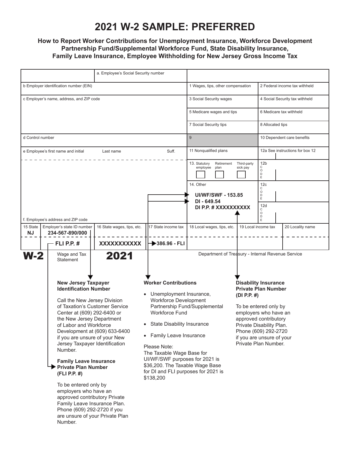# **2021 W-2 SAMPLE: PREFERRED**

### **How to Report Worker Contributions for Unemployment Insurance, Workforce Development Partnership Fund/Supplemental Workforce Fund, State Disability Insurance, Family Leave Insurance, Employee Withholding for New Jersey Gross Income Tax**

| a. Employee's Social Security number                                                                                                                                                                                                                                                                                                                                                                                                                                                                                                                                                                             |                            |                                                                                                                                                                                                                                                                                                                                                                                  |                                                       |                                                                                                                                                                                                                                                              |                                           |  |  |
|------------------------------------------------------------------------------------------------------------------------------------------------------------------------------------------------------------------------------------------------------------------------------------------------------------------------------------------------------------------------------------------------------------------------------------------------------------------------------------------------------------------------------------------------------------------------------------------------------------------|----------------------------|----------------------------------------------------------------------------------------------------------------------------------------------------------------------------------------------------------------------------------------------------------------------------------------------------------------------------------------------------------------------------------|-------------------------------------------------------|--------------------------------------------------------------------------------------------------------------------------------------------------------------------------------------------------------------------------------------------------------------|-------------------------------------------|--|--|
| b Employer identification number (EIN)                                                                                                                                                                                                                                                                                                                                                                                                                                                                                                                                                                           |                            |                                                                                                                                                                                                                                                                                                                                                                                  | 1 Wages, tips, other compensation                     |                                                                                                                                                                                                                                                              | 2 Federal income tax withheld             |  |  |
| c Employer's name, address, and ZIP code                                                                                                                                                                                                                                                                                                                                                                                                                                                                                                                                                                         |                            |                                                                                                                                                                                                                                                                                                                                                                                  | 3 Social Security wages                               |                                                                                                                                                                                                                                                              | 4 Social Security tax withheld            |  |  |
|                                                                                                                                                                                                                                                                                                                                                                                                                                                                                                                                                                                                                  |                            |                                                                                                                                                                                                                                                                                                                                                                                  | 5 Medicare wages and tips                             |                                                                                                                                                                                                                                                              | 6 Medicare tax withheld                   |  |  |
|                                                                                                                                                                                                                                                                                                                                                                                                                                                                                                                                                                                                                  |                            |                                                                                                                                                                                                                                                                                                                                                                                  | 7 Social Security tips                                |                                                                                                                                                                                                                                                              | 8 Allocated tips                          |  |  |
| d Control number                                                                                                                                                                                                                                                                                                                                                                                                                                                                                                                                                                                                 |                            |                                                                                                                                                                                                                                                                                                                                                                                  | 9                                                     |                                                                                                                                                                                                                                                              | 10 Dependent care benefits                |  |  |
| Suff.<br>e Employee's first name and initial<br>Last name                                                                                                                                                                                                                                                                                                                                                                                                                                                                                                                                                        |                            |                                                                                                                                                                                                                                                                                                                                                                                  | 11 Nonqualified plans                                 |                                                                                                                                                                                                                                                              | 12a See instructions for box 12           |  |  |
|                                                                                                                                                                                                                                                                                                                                                                                                                                                                                                                                                                                                                  |                            |                                                                                                                                                                                                                                                                                                                                                                                  | 13. Statutory<br>Retirement<br>employee<br>plan       | Third-party<br>sick pay                                                                                                                                                                                                                                      | 12 <sub>b</sub><br>С<br>$\circ$<br>D<br>E |  |  |
|                                                                                                                                                                                                                                                                                                                                                                                                                                                                                                                                                                                                                  |                            |                                                                                                                                                                                                                                                                                                                                                                                  | 14. Other<br><b>UI/WF/SWF - 153.85</b><br>DI - 649.54 |                                                                                                                                                                                                                                                              | 12c<br>С<br>$\circ$<br>D<br>Ε             |  |  |
|                                                                                                                                                                                                                                                                                                                                                                                                                                                                                                                                                                                                                  |                            |                                                                                                                                                                                                                                                                                                                                                                                  | DI P.P. # XXXXXXXXXX                                  |                                                                                                                                                                                                                                                              | 12d<br>С<br>$\circ$<br>D                  |  |  |
| f. Employee's address and ZIP code<br>Employer's state ID number<br>15 State<br><b>NJ</b><br>234-567-890/000                                                                                                                                                                                                                                                                                                                                                                                                                                                                                                     | 16 State wages, tips, etc. | 17 State income tax                                                                                                                                                                                                                                                                                                                                                              | 18 Local wages, tips, etc.                            | E<br>20 Locality name<br>19 Local income tax                                                                                                                                                                                                                 |                                           |  |  |
| - FLI P.P. #                                                                                                                                                                                                                                                                                                                                                                                                                                                                                                                                                                                                     | XXXXXXXXXXX                | $386.96 - FLI$                                                                                                                                                                                                                                                                                                                                                                   |                                                       |                                                                                                                                                                                                                                                              |                                           |  |  |
| $W-2$<br>Wage and Tax<br><b>Statement</b>                                                                                                                                                                                                                                                                                                                                                                                                                                                                                                                                                                        | 2021                       |                                                                                                                                                                                                                                                                                                                                                                                  | Department of Treasury - Internal Revenue Service     |                                                                                                                                                                                                                                                              |                                           |  |  |
| <b>New Jersey Taxpayer</b><br><b>Identification Number</b><br>Call the New Jersey Division<br>of Taxation's Customer Service<br>Center at (609) 292-6400 or<br>the New Jersey Department<br>of Labor and Workforce<br>Development at (609) 633-6400<br>if you are unsure of your New<br>Jersey Taxpayer Identification<br>Number.<br><b>Family Leave Insurance</b><br><b>Private Plan Number</b><br>(FLI P.P. #)<br>To be entered only by<br>employers who have an<br>approved contributory Private<br>Family Leave Insurance Plan.<br>Phone (609) 292-2720 if you<br>are unsure of your Private Plan<br>Number. |                            | <b>Worker Contributions</b><br>Unemployment Insurance,<br><b>Workforce Development</b><br>Partnership Fund/Supplemental<br><b>Workforce Fund</b><br>State Disability Insurance<br>• Family Leave Insurance<br>Please Note:<br>The Taxable Wage Base for<br>UI/WF/SWF purposes for 2021 is<br>\$36,200. The Taxable Wage Base<br>for DI and FLI purposes for 2021 is<br>\$138,200 |                                                       | <b>Disability Insurance</b><br><b>Private Plan Number</b><br>(DI P.P. #)<br>To be entered only by<br>employers who have an<br>approved contributory<br>Private Disability Plan.<br>Phone (609) 292-2720<br>if you are unsure of your<br>Private Plan Number. |                                           |  |  |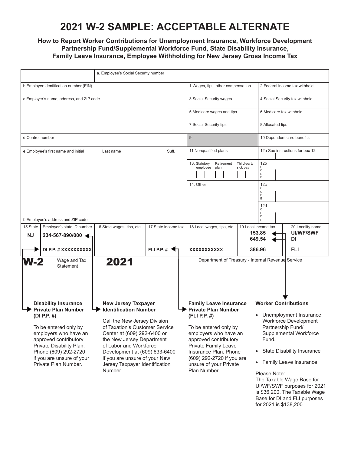# **2021 W-2 SAMPLE: ACCEPTABLE ALTERNATE**

### **How to Report Worker Contributions for Unemployment Insurance, Workforce Development Partnership Fund/Supplemental Workforce Fund, State Disability Insurance, Family Leave Insurance, Employee Withholding for New Jersey Gross Income Tax**

|                                                                                                                                                                                                                                                              |                                                           | a. Employee's Social Security number                                                                                                                                                                                                                                                                                              |               |                                   |                                                                                                                                                                                                                                                                                |                                |                                                                                                                                                                                                                                                                    |     |  |
|--------------------------------------------------------------------------------------------------------------------------------------------------------------------------------------------------------------------------------------------------------------|-----------------------------------------------------------|-----------------------------------------------------------------------------------------------------------------------------------------------------------------------------------------------------------------------------------------------------------------------------------------------------------------------------------|---------------|-----------------------------------|--------------------------------------------------------------------------------------------------------------------------------------------------------------------------------------------------------------------------------------------------------------------------------|--------------------------------|--------------------------------------------------------------------------------------------------------------------------------------------------------------------------------------------------------------------------------------------------------------------|-----|--|
| b Employer identification number (EIN)                                                                                                                                                                                                                       |                                                           |                                                                                                                                                                                                                                                                                                                                   |               | 1 Wages, tips, other compensation |                                                                                                                                                                                                                                                                                | 2 Federal income tax withheld  |                                                                                                                                                                                                                                                                    |     |  |
| c Employer's name, address, and ZIP code                                                                                                                                                                                                                     |                                                           |                                                                                                                                                                                                                                                                                                                                   |               | 3 Social Security wages           |                                                                                                                                                                                                                                                                                | 4 Social Security tax withheld |                                                                                                                                                                                                                                                                    |     |  |
|                                                                                                                                                                                                                                                              |                                                           |                                                                                                                                                                                                                                                                                                                                   |               | 5 Medicare wages and tips         |                                                                                                                                                                                                                                                                                | 6 Medicare tax withheld        |                                                                                                                                                                                                                                                                    |     |  |
|                                                                                                                                                                                                                                                              |                                                           |                                                                                                                                                                                                                                                                                                                                   |               |                                   | 7 Social Security tips                                                                                                                                                                                                                                                         |                                | 8 Allocated tips                                                                                                                                                                                                                                                   |     |  |
| d Control number                                                                                                                                                                                                                                             |                                                           |                                                                                                                                                                                                                                                                                                                                   |               | 9                                 |                                                                                                                                                                                                                                                                                | 10 Dependent care benefits     |                                                                                                                                                                                                                                                                    |     |  |
|                                                                                                                                                                                                                                                              | Suff.<br>e Employee's first name and initial<br>Last name |                                                                                                                                                                                                                                                                                                                                   |               |                                   | 11 Nonqualified plans                                                                                                                                                                                                                                                          |                                | 12a See instructions for box 12                                                                                                                                                                                                                                    |     |  |
|                                                                                                                                                                                                                                                              |                                                           |                                                                                                                                                                                                                                                                                                                                   |               |                                   | 13. Statutory<br>Retirement<br>employee<br>plan<br>14. Other                                                                                                                                                                                                                   | Third-party<br>sick pay        | 12 <sub>b</sub><br>С<br>$\circ$<br>D<br>E<br>12c<br>С                                                                                                                                                                                                              |     |  |
|                                                                                                                                                                                                                                                              | f. Employee's address and ZIP code                        |                                                                                                                                                                                                                                                                                                                                   |               |                                   |                                                                                                                                                                                                                                                                                |                                | O<br>D<br>E<br>12d<br>C<br>$\circ$<br>D                                                                                                                                                                                                                            |     |  |
| 15 State<br><b>NJ</b>                                                                                                                                                                                                                                        | Employer's state ID number<br>234-567-890/000             | 17 State income tax<br>16 State wages, tips, etc.                                                                                                                                                                                                                                                                                 |               |                                   | 18 Local wages, tips, etc.                                                                                                                                                                                                                                                     |                                | 19 Local income tax<br>20 Locality name<br><b>UI/WF/SWF</b><br>153.85<br>649.54<br>DI                                                                                                                                                                              |     |  |
|                                                                                                                                                                                                                                                              | DI P.P. # XXXXXXXXXX                                      |                                                                                                                                                                                                                                                                                                                                   | FLI P.P. $\#$ |                                   | <b>XXXXXXXXXXX</b>                                                                                                                                                                                                                                                             |                                | 386.96                                                                                                                                                                                                                                                             | FLI |  |
| $W-2$                                                                                                                                                                                                                                                        | Wage and Tax<br>Statement                                 | 2021                                                                                                                                                                                                                                                                                                                              |               |                                   | Department of Treasury - Internal Revenue Service                                                                                                                                                                                                                              |                                |                                                                                                                                                                                                                                                                    |     |  |
| <b>Disability Insurance</b><br><b>Private Plan Number</b><br>(DI P.P. #)<br>To be entered only by<br>employers who have an<br>approved contributory<br>Private Disability Plan.<br>Phone (609) 292-2720<br>if you are unsure of your<br>Private Plan Number. |                                                           | <b>New Jersey Taxpayer</b><br><b>Identification Number</b><br>Call the New Jersey Division<br>of Taxation's Customer Service<br>Center at (609) 292-6400 or<br>the New Jersey Department<br>of Labor and Workforce<br>Development at (609) 633-6400<br>if you are unsure of your New<br>Jersey Taxpayer Identification<br>Number. |               |                                   | <b>Family Leave Insurance</b><br><b>Private Plan Number</b><br>(FLI P.P. #)<br>To be entered only by<br>employers who have an<br>approved contributory<br>Private Family Leave<br>Insurance Plan. Phone<br>(609) 292-2720 if you are<br>unsure of your Private<br>Plan Number. |                                | <b>Worker Contributions</b><br>Unemployment Insurance,<br><b>Workforce Development</b><br>Partnership Fund/<br>Supplemental Workforce<br>Fund.<br>State Disability Insurance<br>$\bullet$<br>• Family Leave Insurance<br>Please Note:<br>The Taxable Wage Base for |     |  |

Taxable Wage Base for UI/WF/SWF purposes for 2021 is \$36,200. The Taxable Wage Base for DI and FLI purposes for 2021 is \$138,200